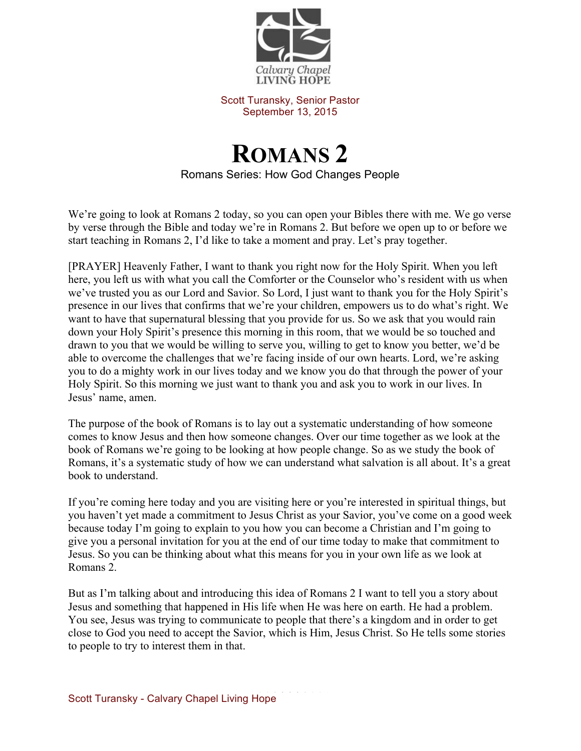

Scott Turansky, Senior Pastor September 13, 2015

## **ROMANS 2** Romans Series: How God Changes People

We're going to look at Romans 2 today, so you can open your Bibles there with me. We go verse by verse through the Bible and today we're in Romans 2. But before we open up to or before we start teaching in Romans 2, I'd like to take a moment and pray. Let's pray together.

[PRAYER] Heavenly Father, I want to thank you right now for the Holy Spirit. When you left here, you left us with what you call the Comforter or the Counselor who's resident with us when we've trusted you as our Lord and Savior. So Lord, I just want to thank you for the Holy Spirit's presence in our lives that confirms that we're your children, empowers us to do what's right. We want to have that supernatural blessing that you provide for us. So we ask that you would rain down your Holy Spirit's presence this morning in this room, that we would be so touched and drawn to you that we would be willing to serve you, willing to get to know you better, we'd be able to overcome the challenges that we're facing inside of our own hearts. Lord, we're asking you to do a mighty work in our lives today and we know you do that through the power of your Holy Spirit. So this morning we just want to thank you and ask you to work in our lives. In Jesus' name, amen.

The purpose of the book of Romans is to lay out a systematic understanding of how someone comes to know Jesus and then how someone changes. Over our time together as we look at the book of Romans we're going to be looking at how people change. So as we study the book of Romans, it's a systematic study of how we can understand what salvation is all about. It's a great book to understand.

If you're coming here today and you are visiting here or you're interested in spiritual things, but you haven't yet made a commitment to Jesus Christ as your Savior, you've come on a good week because today I'm going to explain to you how you can become a Christian and I'm going to give you a personal invitation for you at the end of our time today to make that commitment to Jesus. So you can be thinking about what this means for you in your own life as we look at Romans 2.

But as I'm talking about and introducing this idea of Romans 2 I want to tell you a story about Jesus and something that happened in His life when He was here on earth. He had a problem. You see, Jesus was trying to communicate to people that there's a kingdom and in order to get close to God you need to accept the Savior, which is Him, Jesus Christ. So He tells some stories to people to try to interest them in that.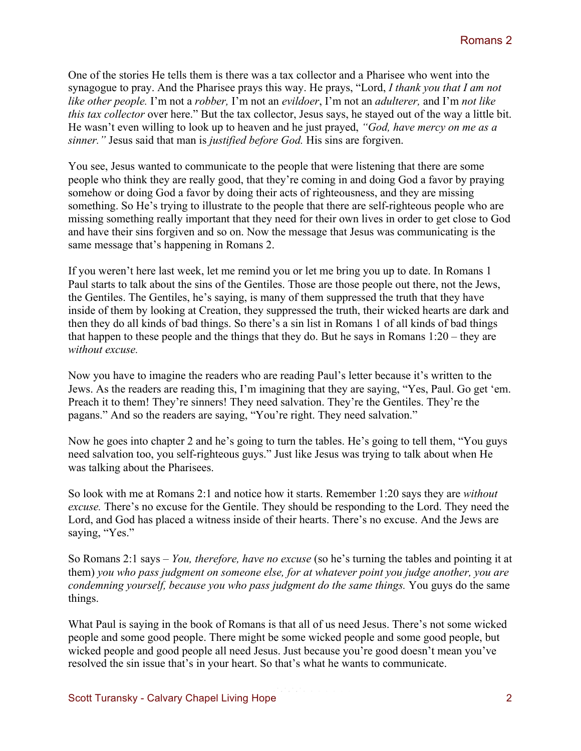One of the stories He tells them is there was a tax collector and a Pharisee who went into the synagogue to pray. And the Pharisee prays this way. He prays, "Lord, *I thank you that I am not like other people.* I'm not a *robber,* I'm not an *evildoer*, I'm not an *adulterer,* and I'm *not like this tax collector* over here." But the tax collector, Jesus says, he stayed out of the way a little bit. He wasn't even willing to look up to heaven and he just prayed, *"God, have mercy on me as a sinner."* Jesus said that man is *justified before God.* His sins are forgiven.

You see, Jesus wanted to communicate to the people that were listening that there are some people who think they are really good, that they're coming in and doing God a favor by praying somehow or doing God a favor by doing their acts of righteousness, and they are missing something. So He's trying to illustrate to the people that there are self-righteous people who are missing something really important that they need for their own lives in order to get close to God and have their sins forgiven and so on. Now the message that Jesus was communicating is the same message that's happening in Romans 2.

If you weren't here last week, let me remind you or let me bring you up to date. In Romans 1 Paul starts to talk about the sins of the Gentiles. Those are those people out there, not the Jews, the Gentiles. The Gentiles, he's saying, is many of them suppressed the truth that they have inside of them by looking at Creation, they suppressed the truth, their wicked hearts are dark and then they do all kinds of bad things. So there's a sin list in Romans 1 of all kinds of bad things that happen to these people and the things that they do. But he says in Romans 1:20 – they are *without excuse.* 

Now you have to imagine the readers who are reading Paul's letter because it's written to the Jews. As the readers are reading this, I'm imagining that they are saying, "Yes, Paul. Go get 'em. Preach it to them! They're sinners! They need salvation. They're the Gentiles. They're the pagans." And so the readers are saying, "You're right. They need salvation."

Now he goes into chapter 2 and he's going to turn the tables. He's going to tell them, "You guys need salvation too, you self-righteous guys." Just like Jesus was trying to talk about when He was talking about the Pharisees.

So look with me at Romans 2:1 and notice how it starts. Remember 1:20 says they are *without excuse.* There's no excuse for the Gentile. They should be responding to the Lord. They need the Lord, and God has placed a witness inside of their hearts. There's no excuse. And the Jews are saying, "Yes."

So Romans 2:1 says – *You, therefore, have no excuse* (so he's turning the tables and pointing it at them) *you who pass judgment on someone else, for at whatever point you judge another, you are condemning yourself, because you who pass judgment do the same things.* You guys do the same things.

What Paul is saying in the book of Romans is that all of us need Jesus. There's not some wicked people and some good people. There might be some wicked people and some good people, but wicked people and good people all need Jesus. Just because you're good doesn't mean you've resolved the sin issue that's in your heart. So that's what he wants to communicate.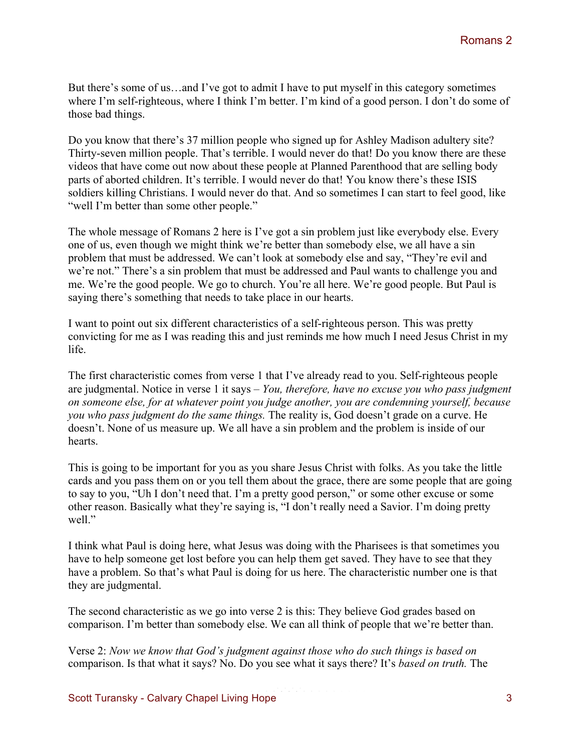But there's some of us…and I've got to admit I have to put myself in this category sometimes where I'm self-righteous, where I think I'm better. I'm kind of a good person. I don't do some of those bad things.

Do you know that there's 37 million people who signed up for Ashley Madison adultery site? Thirty-seven million people. That's terrible. I would never do that! Do you know there are these videos that have come out now about these people at Planned Parenthood that are selling body parts of aborted children. It's terrible. I would never do that! You know there's these ISIS soldiers killing Christians. I would never do that. And so sometimes I can start to feel good, like "well I'm better than some other people."

The whole message of Romans 2 here is I've got a sin problem just like everybody else. Every one of us, even though we might think we're better than somebody else, we all have a sin problem that must be addressed. We can't look at somebody else and say, "They're evil and we're not." There's a sin problem that must be addressed and Paul wants to challenge you and me. We're the good people. We go to church. You're all here. We're good people. But Paul is saying there's something that needs to take place in our hearts.

I want to point out six different characteristics of a self-righteous person. This was pretty convicting for me as I was reading this and just reminds me how much I need Jesus Christ in my life.

The first characteristic comes from verse 1 that I've already read to you. Self-righteous people are judgmental. Notice in verse 1 it says – *You, therefore, have no excuse you who pass judgment on someone else, for at whatever point you judge another, you are condemning yourself, because you who pass judgment do the same things.* The reality is, God doesn't grade on a curve. He doesn't. None of us measure up. We all have a sin problem and the problem is inside of our hearts.

This is going to be important for you as you share Jesus Christ with folks. As you take the little cards and you pass them on or you tell them about the grace, there are some people that are going to say to you, "Uh I don't need that. I'm a pretty good person," or some other excuse or some other reason. Basically what they're saying is, "I don't really need a Savior. I'm doing pretty well."

I think what Paul is doing here, what Jesus was doing with the Pharisees is that sometimes you have to help someone get lost before you can help them get saved. They have to see that they have a problem. So that's what Paul is doing for us here. The characteristic number one is that they are judgmental.

The second characteristic as we go into verse 2 is this: They believe God grades based on comparison. I'm better than somebody else. We can all think of people that we're better than.

Verse 2: *Now we know that God's judgment against those who do such things is based on*  comparison. Is that what it says? No. Do you see what it says there? It's *based on truth.* The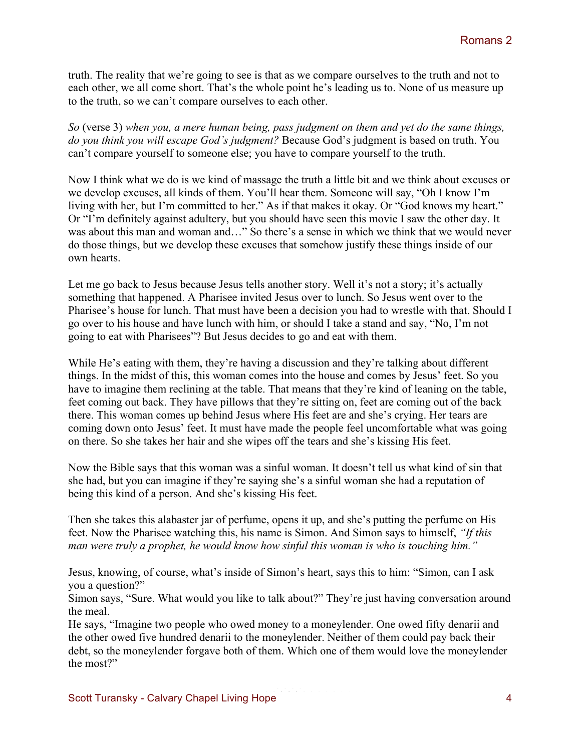truth. The reality that we're going to see is that as we compare ourselves to the truth and not to each other, we all come short. That's the whole point he's leading us to. None of us measure up to the truth, so we can't compare ourselves to each other.

*So* (verse 3) *when you, a mere human being, pass judgment on them and yet do the same things, do you think you will escape God's judgment?* Because God's judgment is based on truth. You can't compare yourself to someone else; you have to compare yourself to the truth.

Now I think what we do is we kind of massage the truth a little bit and we think about excuses or we develop excuses, all kinds of them. You'll hear them. Someone will say, "Oh I know I'm living with her, but I'm committed to her." As if that makes it okay. Or "God knows my heart." Or "I'm definitely against adultery, but you should have seen this movie I saw the other day. It was about this man and woman and…" So there's a sense in which we think that we would never do those things, but we develop these excuses that somehow justify these things inside of our own hearts.

Let me go back to Jesus because Jesus tells another story. Well it's not a story; it's actually something that happened. A Pharisee invited Jesus over to lunch. So Jesus went over to the Pharisee's house for lunch. That must have been a decision you had to wrestle with that. Should I go over to his house and have lunch with him, or should I take a stand and say, "No, I'm not going to eat with Pharisees"? But Jesus decides to go and eat with them.

While He's eating with them, they're having a discussion and they're talking about different things. In the midst of this, this woman comes into the house and comes by Jesus' feet. So you have to imagine them reclining at the table. That means that they're kind of leaning on the table, feet coming out back. They have pillows that they're sitting on, feet are coming out of the back there. This woman comes up behind Jesus where His feet are and she's crying. Her tears are coming down onto Jesus' feet. It must have made the people feel uncomfortable what was going on there. So she takes her hair and she wipes off the tears and she's kissing His feet.

Now the Bible says that this woman was a sinful woman. It doesn't tell us what kind of sin that she had, but you can imagine if they're saying she's a sinful woman she had a reputation of being this kind of a person. And she's kissing His feet.

Then she takes this alabaster jar of perfume, opens it up, and she's putting the perfume on His feet. Now the Pharisee watching this, his name is Simon. And Simon says to himself, *"If this man were truly a prophet, he would know how sinful this woman is who is touching him."*

Jesus, knowing, of course, what's inside of Simon's heart, says this to him: "Simon, can I ask you a question?"

Simon says, "Sure. What would you like to talk about?" They're just having conversation around the meal.

He says, "Imagine two people who owed money to a moneylender. One owed fifty denarii and the other owed five hundred denarii to the moneylender. Neither of them could pay back their debt, so the moneylender forgave both of them. Which one of them would love the moneylender the most?"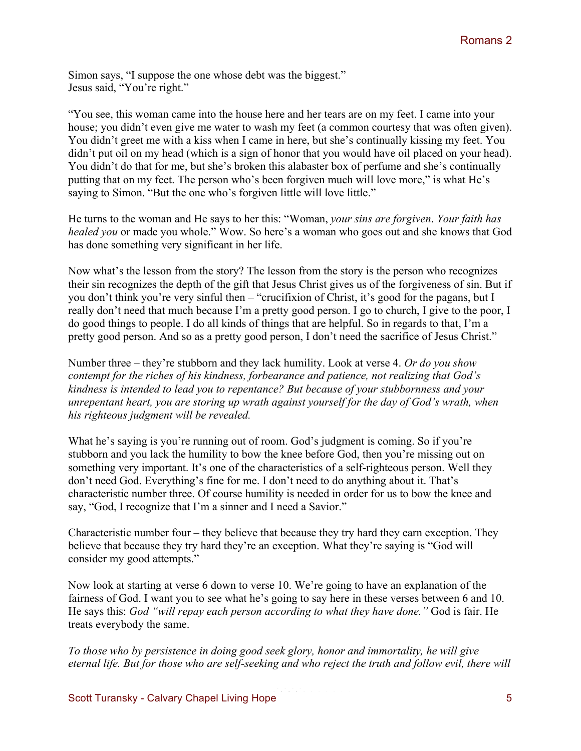Simon says, "I suppose the one whose debt was the biggest." Jesus said, "You're right."

"You see, this woman came into the house here and her tears are on my feet. I came into your house; you didn't even give me water to wash my feet (a common courtesy that was often given). You didn't greet me with a kiss when I came in here, but she's continually kissing my feet. You didn't put oil on my head (which is a sign of honor that you would have oil placed on your head). You didn't do that for me, but she's broken this alabaster box of perfume and she's continually putting that on my feet. The person who's been forgiven much will love more," is what He's saying to Simon. "But the one who's forgiven little will love little."

He turns to the woman and He says to her this: "Woman, *your sins are forgiven*. *Your faith has healed you* or made you whole." Wow. So here's a woman who goes out and she knows that God has done something very significant in her life.

Now what's the lesson from the story? The lesson from the story is the person who recognizes their sin recognizes the depth of the gift that Jesus Christ gives us of the forgiveness of sin. But if you don't think you're very sinful then – "crucifixion of Christ, it's good for the pagans, but I really don't need that much because I'm a pretty good person. I go to church, I give to the poor, I do good things to people. I do all kinds of things that are helpful. So in regards to that, I'm a pretty good person. And so as a pretty good person, I don't need the sacrifice of Jesus Christ."

Number three – they're stubborn and they lack humility. Look at verse 4. *Or do you show contempt for the riches of his kindness, forbearance and patience, not realizing that God's kindness is intended to lead you to repentance? But because of your stubbornness and your unrepentant heart, you are storing up wrath against yourself for the day of God's wrath, when his righteous judgment will be revealed.* 

What he's saying is you're running out of room. God's judgment is coming. So if you're stubborn and you lack the humility to bow the knee before God, then you're missing out on something very important. It's one of the characteristics of a self-righteous person. Well they don't need God. Everything's fine for me. I don't need to do anything about it. That's characteristic number three. Of course humility is needed in order for us to bow the knee and say, "God, I recognize that I'm a sinner and I need a Savior."

Characteristic number four – they believe that because they try hard they earn exception. They believe that because they try hard they're an exception. What they're saying is "God will consider my good attempts."

Now look at starting at verse 6 down to verse 10. We're going to have an explanation of the fairness of God. I want you to see what he's going to say here in these verses between 6 and 10. He says this: *God "will repay each person according to what they have done."* God is fair. He treats everybody the same.

*To those who by persistence in doing good seek glory, honor and immortality, he will give eternal life. But for those who are self-seeking and who reject the truth and follow evil, there will*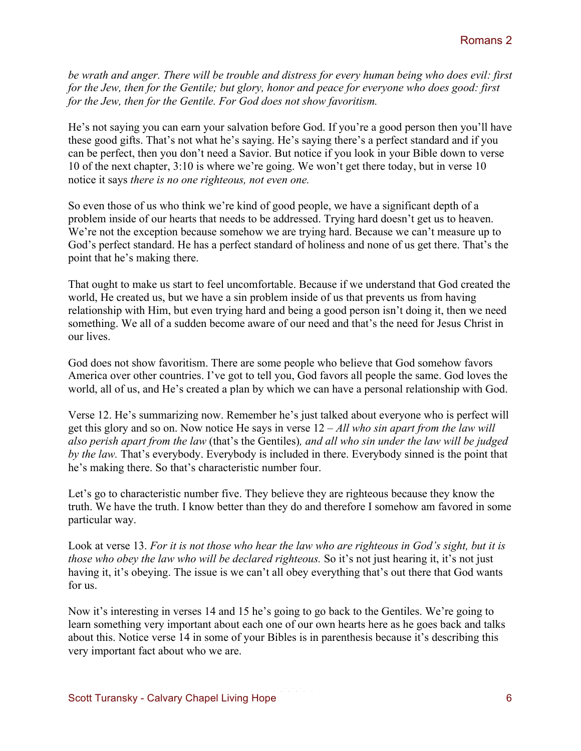*be wrath and anger. There will be trouble and distress for every human being who does evil: first for the Jew, then for the Gentile; but glory, honor and peace for everyone who does good: first for the Jew, then for the Gentile. For God does not show favoritism.*

He's not saying you can earn your salvation before God. If you're a good person then you'll have these good gifts. That's not what he's saying. He's saying there's a perfect standard and if you can be perfect, then you don't need a Savior. But notice if you look in your Bible down to verse 10 of the next chapter, 3:10 is where we're going. We won't get there today, but in verse 10 notice it says *there is no one righteous, not even one.* 

So even those of us who think we're kind of good people, we have a significant depth of a problem inside of our hearts that needs to be addressed. Trying hard doesn't get us to heaven. We're not the exception because somehow we are trying hard. Because we can't measure up to God's perfect standard. He has a perfect standard of holiness and none of us get there. That's the point that he's making there.

That ought to make us start to feel uncomfortable. Because if we understand that God created the world, He created us, but we have a sin problem inside of us that prevents us from having relationship with Him, but even trying hard and being a good person isn't doing it, then we need something. We all of a sudden become aware of our need and that's the need for Jesus Christ in our lives.

God does not show favoritism. There are some people who believe that God somehow favors America over other countries. I've got to tell you, God favors all people the same. God loves the world, all of us, and He's created a plan by which we can have a personal relationship with God.

Verse 12. He's summarizing now. Remember he's just talked about everyone who is perfect will get this glory and so on. Now notice He says in verse 12 – *All who sin apart from the law will also perish apart from the law* (that's the Gentiles)*, and all who sin under the law will be judged by the law.* That's everybody. Everybody is included in there. Everybody sinned is the point that he's making there. So that's characteristic number four.

Let's go to characteristic number five. They believe they are righteous because they know the truth. We have the truth. I know better than they do and therefore I somehow am favored in some particular way.

Look at verse 13. *For it is not those who hear the law who are righteous in God's sight, but it is those who obey the law who will be declared righteous.* So it's not just hearing it, it's not just having it, it's obeying. The issue is we can't all obey everything that's out there that God wants for us.

Now it's interesting in verses 14 and 15 he's going to go back to the Gentiles. We're going to learn something very important about each one of our own hearts here as he goes back and talks about this. Notice verse 14 in some of your Bibles is in parenthesis because it's describing this very important fact about who we are.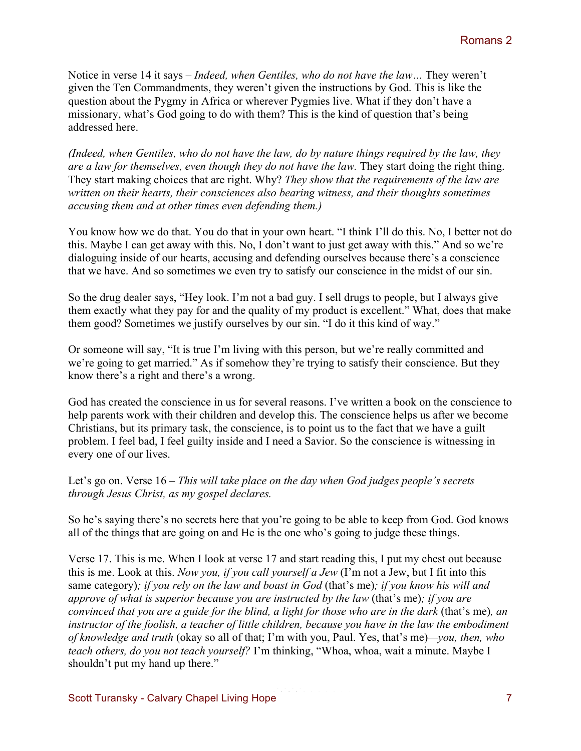Notice in verse 14 it says – *Indeed, when Gentiles, who do not have the law…* They weren't given the Ten Commandments, they weren't given the instructions by God. This is like the question about the Pygmy in Africa or wherever Pygmies live. What if they don't have a missionary, what's God going to do with them? This is the kind of question that's being addressed here.

*(Indeed, when Gentiles, who do not have the law, do by nature things required by the law, they are a law for themselves, even though they do not have the law.* They start doing the right thing. They start making choices that are right. Why? *They show that the requirements of the law are written on their hearts, their consciences also bearing witness, and their thoughts sometimes accusing them and at other times even defending them.)* 

You know how we do that. You do that in your own heart. "I think I'll do this. No, I better not do this. Maybe I can get away with this. No, I don't want to just get away with this." And so we're dialoguing inside of our hearts, accusing and defending ourselves because there's a conscience that we have. And so sometimes we even try to satisfy our conscience in the midst of our sin.

So the drug dealer says, "Hey look. I'm not a bad guy. I sell drugs to people, but I always give them exactly what they pay for and the quality of my product is excellent." What, does that make them good? Sometimes we justify ourselves by our sin. "I do it this kind of way."

Or someone will say, "It is true I'm living with this person, but we're really committed and we're going to get married." As if somehow they're trying to satisfy their conscience. But they know there's a right and there's a wrong.

God has created the conscience in us for several reasons. I've written a book on the conscience to help parents work with their children and develop this. The conscience helps us after we become Christians, but its primary task, the conscience, is to point us to the fact that we have a guilt problem. I feel bad, I feel guilty inside and I need a Savior. So the conscience is witnessing in every one of our lives.

Let's go on. Verse 16 – *This will take place on the day when God judges people's secrets through Jesus Christ, as my gospel declares.*

So he's saying there's no secrets here that you're going to be able to keep from God. God knows all of the things that are going on and He is the one who's going to judge these things.

Verse 17. This is me. When I look at verse 17 and start reading this, I put my chest out because this is me. Look at this. *Now you, if you call yourself a Jew* (I'm not a Jew, but I fit into this same category)*; if you rely on the law and boast in God* (that's me)*; if you know his will and approve of what is superior because you are instructed by the law* (that's me)*; if you are convinced that you are a guide for the blind, a light for those who are in the dark* (that's me)*, an instructor of the foolish, a teacher of little children, because you have in the law the embodiment of knowledge and truth* (okay so all of that; I'm with you, Paul. Yes, that's me)*—you, then, who teach others, do you not teach yourself?* I'm thinking, "Whoa, whoa, wait a minute. Maybe I shouldn't put my hand up there."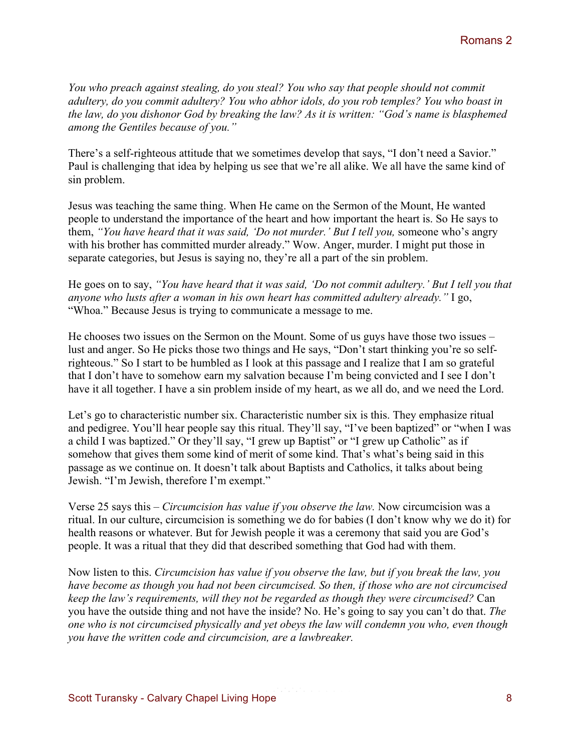*You who preach against stealing, do you steal? You who say that people should not commit adultery, do you commit adultery? You who abhor idols, do you rob temples? You who boast in the law, do you dishonor God by breaking the law? As it is written: "God's name is blasphemed among the Gentiles because of you."*

There's a self-righteous attitude that we sometimes develop that says, "I don't need a Savior." Paul is challenging that idea by helping us see that we're all alike. We all have the same kind of sin problem.

Jesus was teaching the same thing. When He came on the Sermon of the Mount, He wanted people to understand the importance of the heart and how important the heart is. So He says to them, *"You have heard that it was said, 'Do not murder.' But I tell you,* someone who's angry with his brother has committed murder already." Wow. Anger, murder. I might put those in separate categories, but Jesus is saying no, they're all a part of the sin problem.

He goes on to say, *"You have heard that it was said, 'Do not commit adultery.' But I tell you that anyone who lusts after a woman in his own heart has committed adultery already."* I go, "Whoa." Because Jesus is trying to communicate a message to me.

He chooses two issues on the Sermon on the Mount. Some of us guys have those two issues – lust and anger. So He picks those two things and He says, "Don't start thinking you're so selfrighteous." So I start to be humbled as I look at this passage and I realize that I am so grateful that I don't have to somehow earn my salvation because I'm being convicted and I see I don't have it all together. I have a sin problem inside of my heart, as we all do, and we need the Lord.

Let's go to characteristic number six. Characteristic number six is this. They emphasize ritual and pedigree. You'll hear people say this ritual. They'll say, "I've been baptized" or "when I was a child I was baptized." Or they'll say, "I grew up Baptist" or "I grew up Catholic" as if somehow that gives them some kind of merit of some kind. That's what's being said in this passage as we continue on. It doesn't talk about Baptists and Catholics, it talks about being Jewish. "I'm Jewish, therefore I'm exempt."

Verse 25 says this – *Circumcision has value if you observe the law.* Now circumcision was a ritual. In our culture, circumcision is something we do for babies (I don't know why we do it) for health reasons or whatever. But for Jewish people it was a ceremony that said you are God's people. It was a ritual that they did that described something that God had with them.

Now listen to this. *Circumcision has value if you observe the law, but if you break the law, you have become as though you had not been circumcised. So then, if those who are not circumcised keep the law's requirements, will they not be regarded as though they were circumcised?* Can you have the outside thing and not have the inside? No. He's going to say you can't do that. *The one who is not circumcised physically and yet obeys the law will condemn you who, even though you have the written code and circumcision, are a lawbreaker.*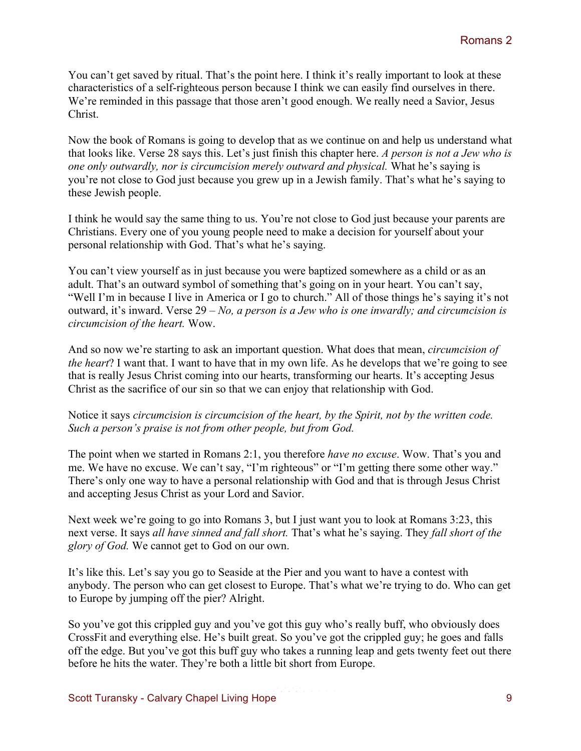You can't get saved by ritual. That's the point here. I think it's really important to look at these characteristics of a self-righteous person because I think we can easily find ourselves in there. We're reminded in this passage that those aren't good enough. We really need a Savior, Jesus Christ.

Now the book of Romans is going to develop that as we continue on and help us understand what that looks like. Verse 28 says this. Let's just finish this chapter here. *A person is not a Jew who is one only outwardly, nor is circumcision merely outward and physical.* What he's saying is you're not close to God just because you grew up in a Jewish family. That's what he's saying to these Jewish people.

I think he would say the same thing to us. You're not close to God just because your parents are Christians. Every one of you young people need to make a decision for yourself about your personal relationship with God. That's what he's saying.

You can't view yourself as in just because you were baptized somewhere as a child or as an adult. That's an outward symbol of something that's going on in your heart. You can't say, "Well I'm in because I live in America or I go to church." All of those things he's saying it's not outward, it's inward. Verse 29 – *No, a person is a Jew who is one inwardly; and circumcision is circumcision of the heart.* Wow.

And so now we're starting to ask an important question. What does that mean, *circumcision of the heart*? I want that. I want to have that in my own life. As he develops that we're going to see that is really Jesus Christ coming into our hearts, transforming our hearts. It's accepting Jesus Christ as the sacrifice of our sin so that we can enjoy that relationship with God.

Notice it says *circumcision is circumcision of the heart, by the Spirit, not by the written code. Such a person's praise is not from other people, but from God.*

The point when we started in Romans 2:1, you therefore *have no excuse*. Wow. That's you and me. We have no excuse. We can't say, "I'm righteous" or "I'm getting there some other way." There's only one way to have a personal relationship with God and that is through Jesus Christ and accepting Jesus Christ as your Lord and Savior.

Next week we're going to go into Romans 3, but I just want you to look at Romans 3:23, this next verse. It says *all have sinned and fall short.* That's what he's saying. They *fall short of the glory of God.* We cannot get to God on our own.

It's like this. Let's say you go to Seaside at the Pier and you want to have a contest with anybody. The person who can get closest to Europe. That's what we're trying to do. Who can get to Europe by jumping off the pier? Alright.

So you've got this crippled guy and you've got this guy who's really buff, who obviously does CrossFit and everything else. He's built great. So you've got the crippled guy; he goes and falls off the edge. But you've got this buff guy who takes a running leap and gets twenty feet out there before he hits the water. They're both a little bit short from Europe.